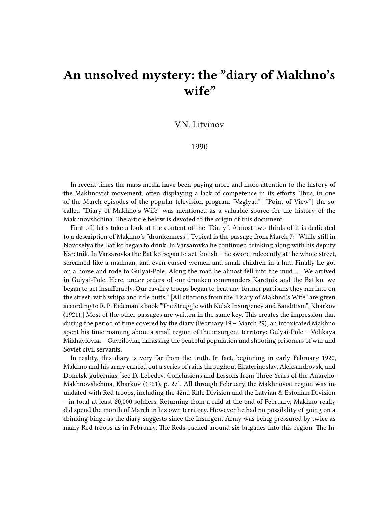## **An unsolved mystery: the "diary of Makhno's wife"**

V.N. Litvinov

1990

In recent times the mass media have been paying more and more attention to the history of the Makhnovist movement, often displaying a lack of competence in its efforts. Thus, in one of the March episodes of the popular television program "Vzglyad" ["Point of View"] the socalled "Diary of Makhno's Wife" was mentioned as a valuable source for the history of the Makhnovshchina. The article below is devoted to the origin of this document.

First off, let's take a look at the content of the "Diary". Almost two thirds of it is dedicated to a description of Makhno's "drunkenness". Typical is the passage from March 7: "While still in Novoselya the Bat'ko began to drink. In Varsarovka he continued drinking along with his deputy Karetnik. In Varsarovka the Bat'ko began to act foolish – he swore indecently at the whole street, screamed like a madman, and even cursed women and small children in a hut. Finally he got on a horse and rode to Gulyai-Pole. Along the road he almost fell into the mud… . We arrived in Gulyai-Pole. Here, under orders of our drunken commanders Karetnik and the Bat'ko, we began to act insufferably. Our cavalry troops began to beat any former partisans they ran into on the street, with whips and rifle butts." [All citations from the "Diary of Makhno's Wife" are given according to R. P. Eideman's book "The Struggle with Kulak Insurgency and Banditism", Kharkov (1921).] Most of the other passages are written in the same key. This creates the impression that during the period of time covered by the diary (February 19 – March 29), an intoxicated Makhno spent his time roaming about a small region of the insurgent territory: Gulyai-Pole – Velikaya Mikhaylovka – Gavrilovka, harassing the peaceful population and shooting prisoners of war and Soviet civil servants.

In reality, this diary is very far from the truth. In fact, beginning in early February 1920, Makhno and his army carried out a series of raids throughout Ekaterinoslav, Aleksandrovsk, and Donetsk gubernias [see D. Lebedev, Conclusions and Lessons from Three Years of the Anarcho-Makhnovshchina, Kharkov (1921), p. 27]. All through February the Makhnovist region was inundated with Red troops, including the 42nd Rifle Division and the Latvian & Estonian Division – in total at least 20,000 soldiers. Returning from a raid at the end of February, Makhno really did spend the month of March in his own territory. However he had no possibility of going on a drinking binge as the diary suggests since the Insurgent Army was being pressured by twice as many Red troops as in February. The Reds packed around six brigades into this region. The In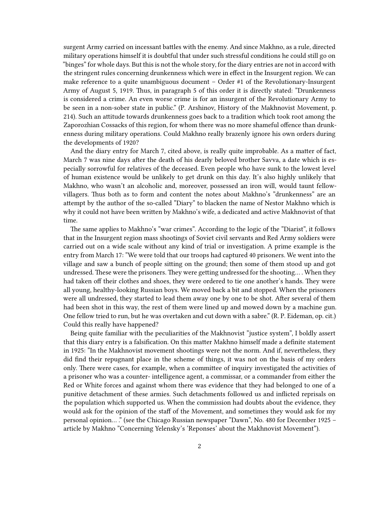surgent Army carried on incessant battles with the enemy. And since Makhno, as a rule, directed military operations himself it is doubtful that under such stressful conditions he could still go on "binges" for whole days. But this is not the whole story, for the diary entries are not in accord with the stringent rules concerning drunkenness which were in effect in the Insurgent region. We can make reference to a quite unambiguous document – Order #1 of the Revolutionary-Insurgent Army of August 5, 1919. Thus, in paragraph 5 of this order it is directly stated: "Drunkenness is considered a crime. An even worse crime is for an insurgent of the Revolutionary Army to be seen in a non-sober state in public." (P. Arshinov, History of the Makhnovist Movement, p. 214). Such an attitude towards drunkenness goes back to a tradition which took root among the Zaporozhian Cossacks of this region, for whom there was no more shameful offence than drunkenness during military operations. Could Makhno really brazenly ignore his own orders during the developments of 1920?

And the diary entry for March 7, cited above, is really quite improbable. As a matter of fact, March 7 was nine days after the death of his dearly beloved brother Savva, a date which is especially sorrowful for relatives of the deceased. Even people who have sunk to the lowest level of human existence would be unlikely to get drunk on this day. It's also highly unlikely that Makhno, who wasn't an alcoholic and, moreover, possessed an iron will, would taunt fellowvillagers. Thus both as to form and content the notes about Makhno's "drunkenness" are an attempt by the author of the so-called "Diary" to blacken the name of Nestor Makhno which is why it could not have been written by Makhno's wife, a dedicated and active Makhnovist of that time.

The same applies to Makhno's "war crimes". According to the logic of the "Diarist", it follows that in the Insurgent region mass shootings of Soviet civil servants and Red Army soldiers were carried out on a wide scale without any kind of trial or investigation. A prime example is the entry from March 17: "We were told that our troops had captured 40 prisoners. We went into the village and saw a bunch of people sitting on the ground; then some of them stood up and got undressed. These were the prisoners. They were getting undressed for the shooting… . When they had taken off their clothes and shoes, they were ordered to tie one another's hands. They were all young, healthy-looking Russian boys. We moved back a bit and stopped. When the prisoners were all undressed, they started to lead them away one by one to be shot. After several of them had been shot in this way, the rest of them were lined up and mowed down by a machine gun. One fellow tried to run, but he was overtaken and cut down with a sabre." (R. P. Eideman, op. cit.) Could this really have happened?

Being quite familiar with the peculiarities of the Makhnovist "justice system", I boldly assert that this diary entry is a falsification. On this matter Makhno himself made a definite statement in 1925: "In the Makhnovist movement shootings were not the norm. And if, nevertheless, they did find their repugnant place in the scheme of things, it was not on the basis of my orders only. There were cases, for example, when a committee of inquiry investigated the activities of a prisoner who was a counter- intelligence agent, a commissar, or a commander from either the Red or White forces and against whom there was evidence that they had belonged to one of a punitive detachment of these armies. Such detachments followed us and inflicted reprisals on the population which supported us. When the commission had doubts about the evidence, they would ask for the opinion of the staff of the Movement, and sometimes they would ask for my personal opinion… ." (see the Chicago Russian newspaper "Dawn", No. 480 for December 1925 – article by Makhno "Concerning Yelensky's 'Reponses' about the Makhnovist Movement").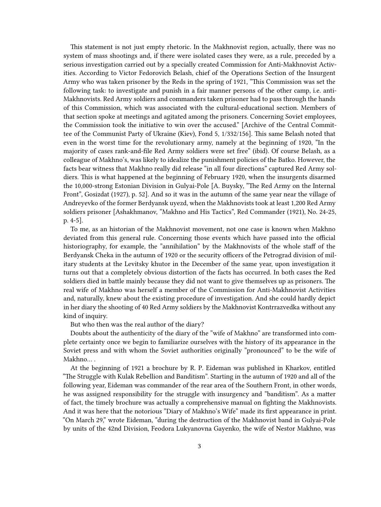This statement is not just empty rhetoric. In the Makhnovist region, actually, there was no system of mass shootings and, if there were isolated cases they were, as a rule, preceded by a serious investigation carried out by a specially created Commission for Anti-Makhnovist Activities. According to Victor Fedorovich Belash, chief of the Operations Section of the Insurgent Army who was taken prisoner by the Reds in the spring of 1921, "This Commission was set the following task: to investigate and punish in a fair manner persons of the other camp, i.e. anti-Makhnovists. Red Army soldiers and commanders taken prisoner had to pass through the hands of this Commission, which was associated with the cultural-educational section. Members of that section spoke at meetings and agitated among the prisoners. Concerning Soviet employees, the Commission took the initiative to win over the accused." [Archive of the Central Committee of the Communist Party of Ukraine (Kiev), Fond 5, 1/332/156]. This same Belash noted that even in the worst time for the revolutionary army, namely at the beginning of 1920, "In the majority of cases rank-and-file Red Army soldiers were set free" (ibid). Of course Belash, as a colleague of Makhno's, was likely to idealize the punishment policies of the Batko. However, the facts bear witness that Makhno really did release "in all four directions" captured Red Army soldiers. This is what happened at the beginning of February 1920, when the insurgents disarmed the 10,000-strong Estonian Division in Gulyai-Pole [A. Buysky, "The Red Army on the Internal Front", Gosizdat (1927), p. 52]. And so it was in the autumn of the same year near the village of Andreyevko of the former Berdyansk uyezd, when the Makhnovists took at least 1,200 Red Army soldiers prisoner [Ashakhmanov, "Makhno and His Tactics", Red Commander (1921), No. 24-25, p. 4-5].

To me, as an historian of the Makhnovist movement, not one case is known when Makhno deviated from this general rule. Concerning those events which have passed into the official historiography, for example, the "annihilation" by the Makhnovists of the whole staff of the Berdyansk Cheka in the autumn of 1920 or the security officers of the Petrograd division of military students at the Levitsky khutor in the December of the same year, upon investigation it turns out that a completely obvious distortion of the facts has occurred. In both cases the Red soldiers died in battle mainly because they did not want to give themselves up as prisoners. The real wife of Makhno was herself a member of the Commission for Anti-Makhnovist Activities and, naturally, knew about the existing procedure of investigation. And she could hardly depict in her diary the shooting of 40 Red Army soldiers by the Makhnovist Kontrrazvedka without any kind of inquiry.

But who then was the real author of the diary?

Doubts about the authenticity of the diary of the "wife of Makhno" are transformed into complete certainty once we begin to familiarize ourselves with the history of its appearance in the Soviet press and with whom the Soviet authorities originally "pronounced" to be the wife of Makhno… .

At the beginning of 1921 a brochure by R. P. Eideman was published in Kharkov, entitled "The Struggle with Kulak Rebellion and Banditism". Starting in the autumn of 1920 and all of the following year, Eideman was commander of the rear area of the Southern Front, in other words, he was assigned responsibility for the struggle with insurgency and "banditism". As a matter of fact, the timely brochure was actually a comprehensive manual on fighting the Makhnovists. And it was here that the notorious "Diary of Makhno's Wife" made its first appearance in print. "On March 29," wrote Eideman, "during the destruction of the Makhnovist band in Gulyai-Pole by units of the 42nd Division, Feodora Lukyanovna Gayenko, the wife of Nestor Makhno, was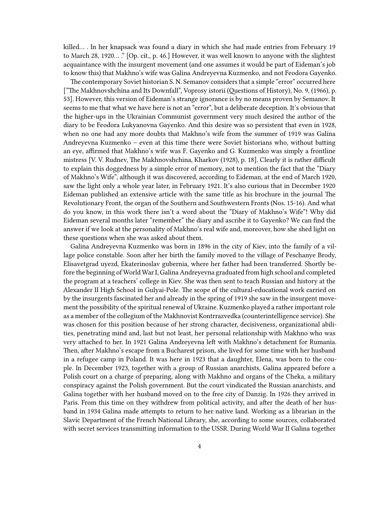killed… . In her knapsack was found a diary in which she had made entries from February 19 to March 28, 1920… ." [Op. cit., p. 46.] However, it was well known to anyone with the slightest acquaintance with the insurgent movement (and one assumes it would be part of Eideman's job to know this) that Makhno's wife was Galina Andreyevna Kuzmenko, and not Feodora Gayenko.

The contemporary Soviet historian S. N. Semanov considers that a simple "error" occurred here ["The Makhnovshchina and Its Downfall", Voprosy istorii (Questions of History), No. 9, (1966), p. 53]. However, this version of Eideman's strange ignorance is by no means proven by Semanov. It seems to me that what we have here is not an "error", but a deliberate deception. It's obvious that the higher-ups in the Ukrainian Communist government very much desired the author of the diary to be Feodora Lukyanovna Gayenko. And this desire was so persistent that even in 1928, when no one had any more doubts that Makhno's wife from the summer of 1919 was Galina Andreyevna Kuzmenko – even at this time there were Soviet historians who, without batting an eye, affirmed that Makhno's wife was F. Gayenko and G. Kuzmenko was simply a frontline mistress [V. V. Rudnev, The Makhnovshchina, Kharkov (1928), p. 18]. Clearly it is rather difficult to explain this doggedness by a simple error of memory, not to mention the fact that the "Diary of Makhno's Wife", although it was discovered, according to Eideman, at the end of March 1920, saw the light only a whole year later, in February 1921. It's also curious that in December 1920 Eideman published an extensive article with the same title as his brochure in the journal The Revolutionary Front, the organ of the Southern and Southwestern Fronts (Nos. 15-16). And what do you know, in this work there isn't a word about the "Diary of Makhno's Wife"! Why did Eideman several months later "remember" the diary and ascribe it to Gayenko? We can find the answer if we look at the personality of Makhno's real wife and, moreover, how she shed light on these questions when she was asked about them.

Galina Andreyevna Kuzmenko was born in 1896 in the city of Kiev, into the family of a village police constable. Soon after her birth the family moved to the village of Peschanye Brody, Elisavetgrad uyezd, Ekaterinoslav gubernia, where her father had been transferred. Shortly before the beginning of World War I, Galina Andreyevna graduated from high school and completed the program at a teachers' college in Kiev. She was then sent to teach Russian and history at the Alexander II High School in Gulyai-Pole. The scope of the cultural-educational work carried on by the insurgents fascinated her and already in the spring of 1919 she saw in the insurgent movement the possibility of the spiritual renewal of Ukraine. Kuzmenko played a rather important role as a member of the collegium of the Makhnovist Kontrrazvedka (counterintelligence service). She was chosen for this position because of her strong character, decisiveness, organizational abilities, penetrating mind and, last but not least, her personal relationship with Makhno who was very attached to her. In 1921 Galina Andreyevna left with Makhno's detachment for Rumania. Then, after Makhno's escape from a Bucharest prison, she lived for some time with her husband in a refugee camp in Poland. It was here in 1923 that a daughter, Elena, was born to the couple. In December 1923, together with a group of Russian anarchists, Galina appeared before a Polish court on a charge of preparing, along with Makhno and organs of the Cheka, a military conspiracy against the Polish government. But the court vindicated the Russian anarchists, and Galina together with her husband moved on to the free city of Danzig. In 1926 they arrived in Paris. From this time on they withdrew from political activity, and after the death of her husband in 1934 Galina made attempts to return to her native land. Working as a librarian in the Slavic Department of the French National Library, she, according to some sources, collaborated with secret services transmitting information to the USSR. During World War II Galina together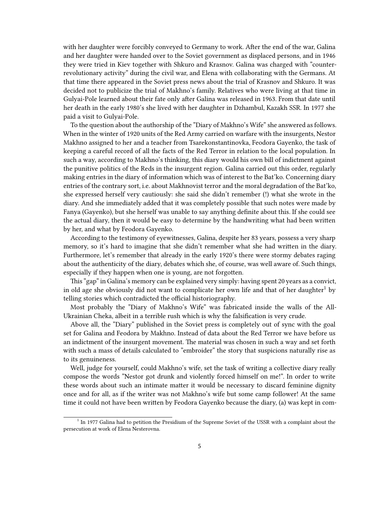with her daughter were forcibly conveyed to Germany to work. After the end of the war, Galina and her daughter were handed over to the Soviet government as displaced persons, and in 1946 they were tried in Kiev together with Shkuro and Krasnov. Galina was charged with "counterrevolutionary activity" during the civil war, and Elena with collaborating with the Germans. At that time there appeared in the Soviet press news about the trial of Krasnov and Shkuro. It was decided not to publicize the trial of Makhno's family. Relatives who were living at that time in Gulyai-Pole learned about their fate only after Galina was released in 1963. From that date until her death in the early 1980's she lived with her daughter in Dzhambul, Kazakh SSR. In 1977 she paid a visit to Gulyai-Pole.

To the question about the authorship of the "Diary of Makhno's Wife" she answered as follows. When in the winter of 1920 units of the Red Army carried on warfare with the insurgents, Nestor Makhno assigned to her and a teacher from Tsarekonstantinovka, Feodora Gayenko, the task of keeping a careful record of all the facts of the Red Terror in relation to the local population. In such a way, according to Makhno's thinking, this diary would his own bill of indictment against the punitive politics of the Reds in the insurgent region. Galina carried out this order, regularly making entries in the diary of information which was of interest to the Bat'ko. Concerning diary entries of the contrary sort, i.e. about Makhnovist terror and the moral degradation of the Bat'ko, she expressed herself very cautiously: she said she didn't remember (!) what she wrote in the diary. And she immediately added that it was completely possible that such notes were made by Fanya (Gayenko), but she herself was unable to say anything definite about this. If she could see the actual diary, then it would be easy to determine by the handwriting what had been written by her, and what by Feodora Gayenko.

According to the testimony of eyewitnesses, Galina, despite her 83 years, possess a very sharp memory, so it's hard to imagine that she didn't remember what she had written in the diary. Furthermore, let's remember that already in the early 1920's there were stormy debates raging about the authenticity of the diary, debates which she, of course, was well aware of. Such things, especially if they happen when one is young, are not forgotten.

This "gap" in Galina's memory can be explained very simply: having spent 20 years as a convict, in old age she obviously did not want to complicate her own life and that of her daughter<sup>1</sup> by telling stories which contradicted the official historiography.

Most probably the "Diary of Makhno's Wife" was fabricated inside the walls of the All-Ukrainian Cheka, albeit in a terrible rush which is why the falsification is very crude.

Above all, the "Diary" published in the Soviet press is completely out of sync with the goal set for Galina and Feodora by Makhno. Instead of data about the Red Terror we have before us an indictment of the insurgent movement. The material was chosen in such a way and set forth with such a mass of details calculated to "embroider" the story that suspicions naturally rise as to its genuineness.

Well, judge for yourself, could Makhno's wife, set the task of writing a collective diary really compose the words "Nestor got drunk and violently forced himself on me!". In order to write these words about such an intimate matter it would be necessary to discard feminine dignity once and for all, as if the writer was not Makhno's wife but some camp follower! At the same time it could not have been written by Feodora Gayenko because the diary, (a) was kept in com-

<sup>&</sup>lt;sup>1</sup> In 1977 Galina had to petition the Presidium of the Supreme Soviet of the USSR with a complaint about the persecution at work of Elena Nesterovna.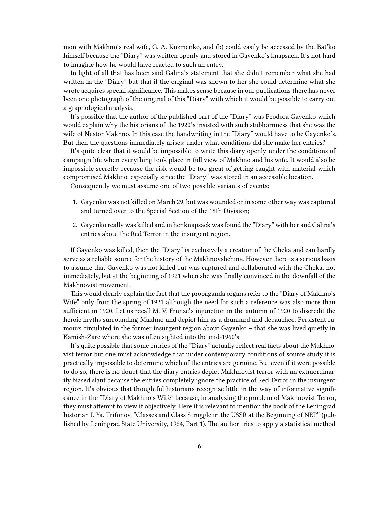mon with Makhno's real wife, G. A. Kuzmenko, and (b) could easily be accessed by the Bat'ko himself because the "Diary" was written openly and stored in Gayenko's knapsack. It's not hard to imagine how he would have reacted to such an entry.

In light of all that has been said Galina's statement that she didn't remember what she had written in the "Diary" but that if the original was shown to her she could determine what she wrote acquires special significance. This makes sense because in our publications there has never been one photograph of the original of this "Diary" with which it would be possible to carry out a graphological analysis.

It's possible that the author of the published part of the "Diary" was Feodora Gayenko which would explain why the historians of the 1920's insisted with such stubbornness that she was the wife of Nestor Makhno. In this case the handwriting in the "Diary" would have to be Gayenko's. But then the questions immediately arises: under what conditions did she make her entries?

It's quite clear that it would be impossible to write this diary openly under the conditions of campaign life when everything took place in full view of Makhno and his wife. It would also be impossible secretly because the risk would be too great of getting caught with material which compromised Makhno, especially since the "Diary" was stored in an accessible location.

Consequently we must assume one of two possible variants of events:

- 1. Gayenko was not killed on March 29, but was wounded or in some other way was captured and turned over to the Special Section of the 18th Division;
- 2. Gayenko really was killed and in her knapsack was found the "Diary" with her and Galina's entries about the Red Terror in the insurgent region.

If Gayenko was killed, then the "Diary" is exclusively a creation of the Cheka and can hardly serve as a reliable source for the history of the Makhnovshchina. However there is a serious basis to assume that Gayenko was not killed but was captured and collaborated with the Cheka, not immediately, but at the beginning of 1921 when she was finally convinced in the downfall of the Makhnovist movement.

This would clearly explain the fact that the propaganda organs refer to the "Diary of Makhno's Wife" only from the spring of 1921 although the need for such a reference was also more than sufficient in 1920. Let us recall M. V. Frunze's injunction in the autumn of 1920 to discredit the heroic myths surrounding Makhno and depict him as a drunkard and debauchee. Persistent rumours circulated in the former insurgent region about Gayenko – that she was lived quietly in Kamish-Zare where she was often sighted into the mid-1960's.

It's quite possible that some entries of the "Diary" actually reflect real facts about the Makhnovist terror but one must acknowledge that under contemporary conditions of source study it is practically impossible to determine which of the entries are genuine. But even if it were possible to do so, there is no doubt that the diary entries depict Makhnovist terror with an extraordinarily biased slant because the entries completely ignore the practice of Red Terror in the insurgent region. It's obvious that thoughtful historians recognize little in the way of informative significance in the "Diary of Makhno's Wife" because, in analyzing the problem of Makhnovist Terror, they must attempt to view it objectively. Here it is relevant to mention the book of the Leningrad historian I. Ya. Trifonov, "Classes and Class Struggle in the USSR at the Beginning of NEP" (published by Leningrad State University, 1964, Part 1). The author tries to apply a statistical method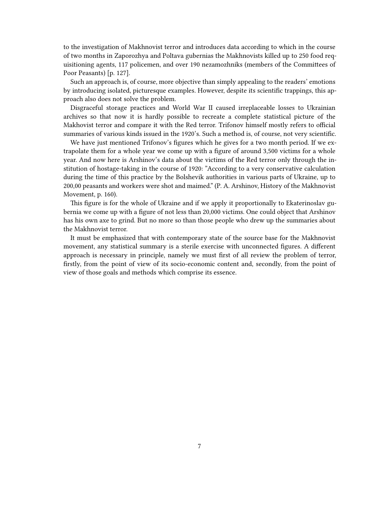to the investigation of Makhnovist terror and introduces data according to which in the course of two months in Zaporozhya and Poltava gubernias the Makhnovists killed up to 250 food requisitioning agents, 117 policemen, and over 190 nezamozhniks (members of the Committees of Poor Peasants) [p. 127].

Such an approach is, of course, more objective than simply appealing to the readers' emotions by introducing isolated, picturesque examples. However, despite its scientific trappings, this approach also does not solve the problem.

Disgraceful storage practices and World War II caused irreplaceable losses to Ukrainian archives so that now it is hardly possible to recreate a complete statistical picture of the Makhovist terror and compare it with the Red terror. Trifonov himself mostly refers to official summaries of various kinds issued in the 1920's. Such a method is, of course, not very scientific.

We have just mentioned Trifonov's figures which he gives for a two month period. If we extrapolate them for a whole year we come up with a figure of around 3,500 victims for a whole year. And now here is Arshinov's data about the victims of the Red terror only through the institution of hostage-taking in the course of 1920: "According to a very conservative calculation during the time of this practice by the Bolshevik authorities in various parts of Ukraine, up to 200,00 peasants and workers were shot and maimed." (P. A. Arshinov, History of the Makhnovist Movement, p. 160).

This figure is for the whole of Ukraine and if we apply it proportionally to Ekaterinoslav gubernia we come up with a figure of not less than 20,000 victims. One could object that Arshinov has his own axe to grind. But no more so than those people who drew up the summaries about the Makhnovist terror.

It must be emphasized that with contemporary state of the source base for the Makhnovist movement, any statistical summary is a sterile exercise with unconnected figures. A different approach is necessary in principle, namely we must first of all review the problem of terror, firstly, from the point of view of its socio-economic content and, secondly, from the point of view of those goals and methods which comprise its essence.